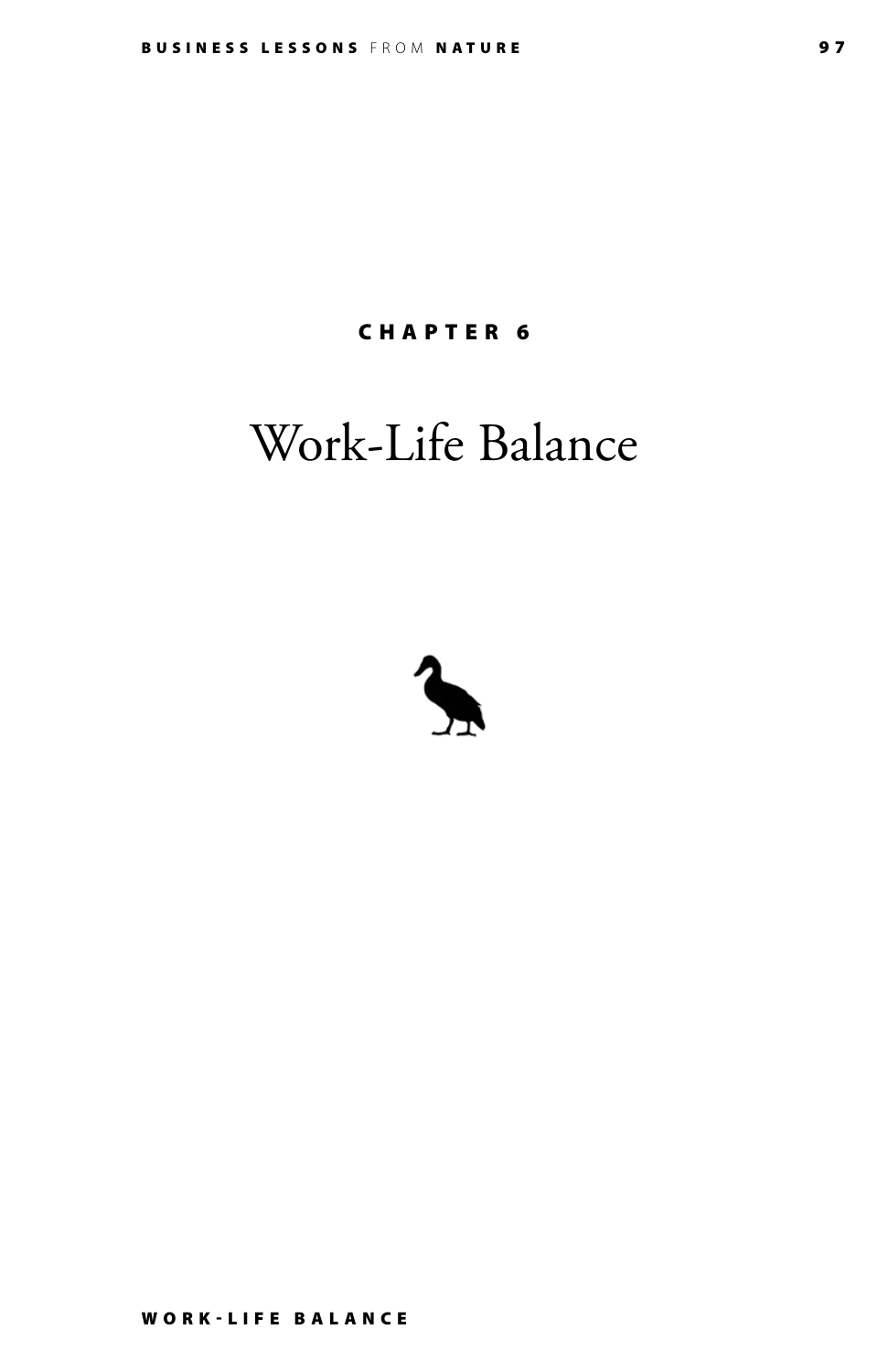C H A P T E R 6

## Work-Life Balance

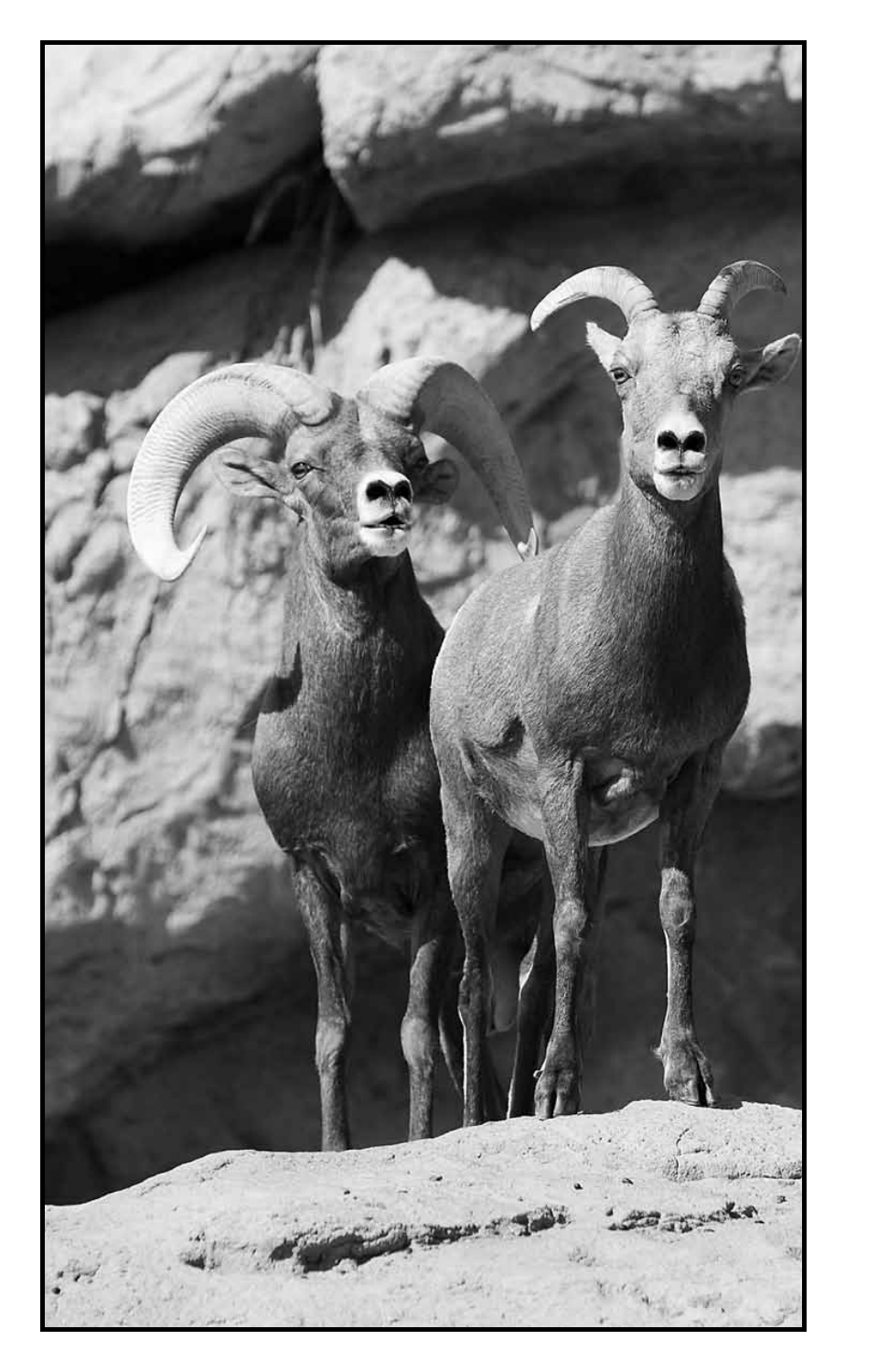